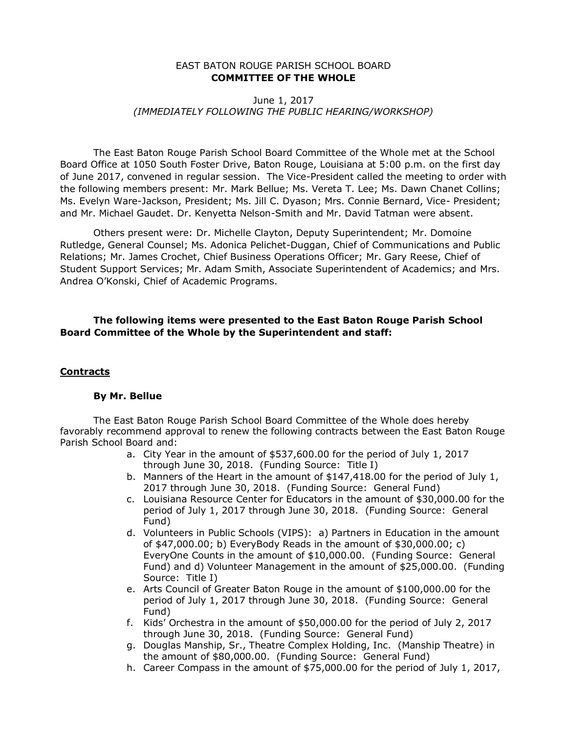#### EAST BATON ROUGE PARISH SCHOOL BOARD **COMMITTEE OF THE WHOLE**

# June 1, 2017 *(IMMEDIATELY FOLLOWING THE PUBLIC HEARING/WORKSHOP)*

The East Baton Rouge Parish School Board Committee of the Whole met at the School Board Office at 1050 South Foster Drive, Baton Rouge, Louisiana at 5:00 p.m. on the first day of June 2017, convened in regular session. The Vice-President called the meeting to order with the following members present: Mr. Mark Bellue; Ms. Vereta T. Lee; Ms. Dawn Chanet Collins; Ms. Evelyn Ware-Jackson, President; Ms. Jill C. Dyason; Mrs. Connie Bernard, Vice- President; and Mr. Michael Gaudet. Dr. Kenyetta Nelson-Smith and Mr. David Tatman were absent.

Others present were: Dr. Michelle Clayton, Deputy Superintendent; Mr. Domoine Rutledge, General Counsel; Ms. Adonica Pelichet-Duggan, Chief of Communications and Public Relations; Mr. James Crochet, Chief Business Operations Officer; Mr. Gary Reese, Chief of Student Support Services; Mr. Adam Smith, Associate Superintendent of Academics; and Mrs. Andrea O'Konski, Chief of Academic Programs.

# **The following items were presented to the East Baton Rouge Parish School Board Committee of the Whole by the Superintendent and staff:**

#### **Contracts**

#### **By Mr. Bellue**

The East Baton Rouge Parish School Board Committee of the Whole does hereby favorably recommend approval to renew the following contracts between the East Baton Rouge Parish School Board and:

- a. City Year in the amount of \$537,600.00 for the period of July 1, 2017 through June 30, 2018. (Funding Source: Title I)
- b. Manners of the Heart in the amount of \$147,418.00 for the period of July 1, 2017 through June 30, 2018. (Funding Source: General Fund)
- c. Louisiana Resource Center for Educators in the amount of \$30,000.00 for the period of July 1, 2017 through June 30, 2018. (Funding Source: General Fund)
- d. Volunteers in Public Schools (VIPS): a) Partners in Education in the amount of \$47,000.00; b) EveryBody Reads in the amount of \$30,000.00; c) EveryOne Counts in the amount of \$10,000.00. (Funding Source: General Fund) and d) Volunteer Management in the amount of \$25,000.00. (Funding Source: Title I)
- e. Arts Council of Greater Baton Rouge in the amount of \$100,000.00 for the period of July 1, 2017 through June 30, 2018. (Funding Source: General Fund)
- f. Kids' Orchestra in the amount of \$50,000.00 for the period of July 2, 2017 through June 30, 2018. (Funding Source: General Fund)
- g. Douglas Manship, Sr., Theatre Complex Holding, Inc. (Manship Theatre) in the amount of \$80,000.00. (Funding Source: General Fund)
- h. Career Compass in the amount of \$75,000.00 for the period of July 1, 2017,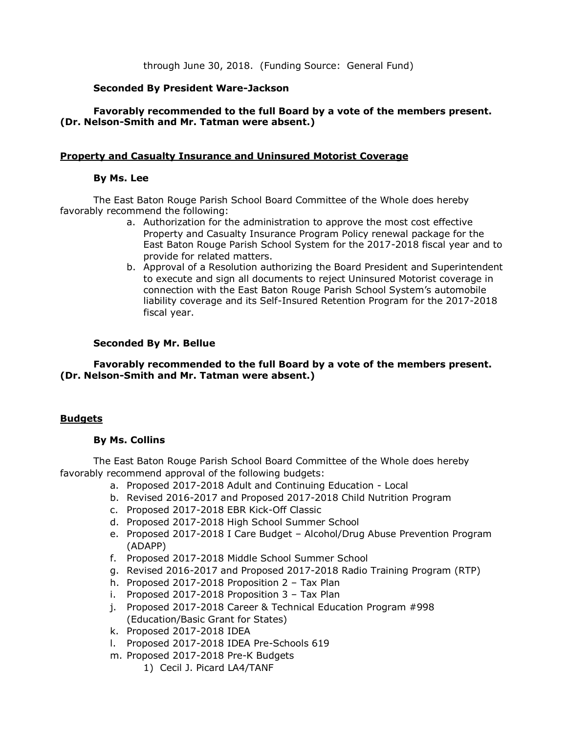through June 30, 2018. (Funding Source: General Fund)

# **Seconded By President Ware-Jackson**

# **Favorably recommended to the full Board by a vote of the members present. (Dr. Nelson-Smith and Mr. Tatman were absent.)**

### **Property and Casualty Insurance and Uninsured Motorist Coverage**

# **By Ms. Lee**

The East Baton Rouge Parish School Board Committee of the Whole does hereby favorably recommend the following:

- a. Authorization for the administration to approve the most cost effective Property and Casualty Insurance Program Policy renewal package for the East Baton Rouge Parish School System for the 2017-2018 fiscal year and to provide for related matters.
- b. Approval of a Resolution authorizing the Board President and Superintendent to execute and sign all documents to reject Uninsured Motorist coverage in connection with the East Baton Rouge Parish School System's automobile liability coverage and its Self-Insured Retention Program for the 2017-2018 fiscal year.

### **Seconded By Mr. Bellue**

**Favorably recommended to the full Board by a vote of the members present. (Dr. Nelson-Smith and Mr. Tatman were absent.)**

# **Budgets**

### **By Ms. Collins**

The East Baton Rouge Parish School Board Committee of the Whole does hereby favorably recommend approval of the following budgets:

- a. Proposed 2017-2018 Adult and Continuing Education Local
- b. Revised 2016-2017 and Proposed 2017-2018 Child Nutrition Program
- c. Proposed 2017-2018 EBR Kick-Off Classic
- d. Proposed 2017-2018 High School Summer School
- e. Proposed 2017-2018 I Care Budget Alcohol/Drug Abuse Prevention Program (ADAPP)
- f. Proposed 2017-2018 Middle School Summer School
- g. Revised 2016-2017 and Proposed 2017-2018 Radio Training Program (RTP)
- h. Proposed 2017-2018 Proposition 2 Tax Plan
- i. Proposed 2017-2018 Proposition 3 Tax Plan
- j. Proposed 2017-2018 Career & Technical Education Program #998 (Education/Basic Grant for States)
- k. Proposed 2017-2018 IDEA
- l. Proposed 2017-2018 IDEA Pre-Schools 619
- m. Proposed 2017-2018 Pre-K Budgets
	- 1) Cecil J. Picard LA4/TANF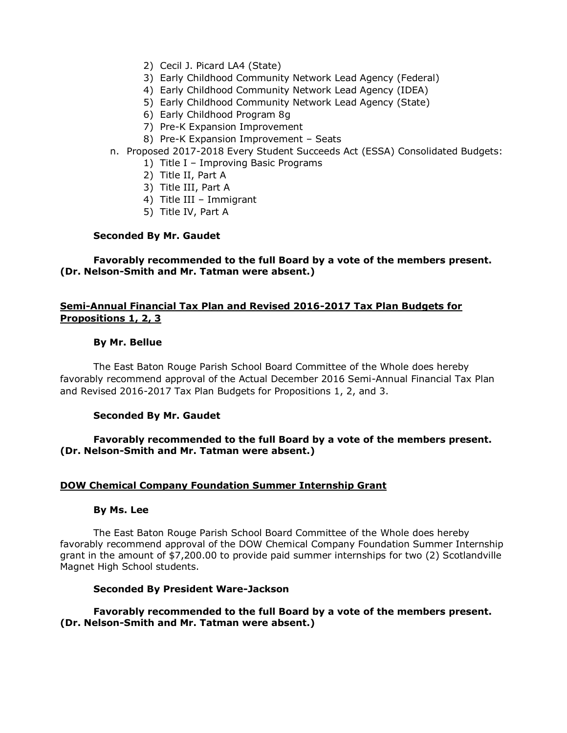- 2) Cecil J. Picard LA4 (State)
- 3) Early Childhood Community Network Lead Agency (Federal)
- 4) Early Childhood Community Network Lead Agency (IDEA)
- 5) Early Childhood Community Network Lead Agency (State)
- 6) Early Childhood Program 8g
- 7) Pre-K Expansion Improvement
- 8) Pre-K Expansion Improvement Seats
- n. Proposed 2017-2018 Every Student Succeeds Act (ESSA) Consolidated Budgets:
	- 1) Title I Improving Basic Programs
		- 2) Title II, Part A
		- 3) Title III, Part A
		- 4) Title III Immigrant
		- 5) Title IV, Part A

### **Seconded By Mr. Gaudet**

**Favorably recommended to the full Board by a vote of the members present. (Dr. Nelson-Smith and Mr. Tatman were absent.)**

# **Semi-Annual Financial Tax Plan and Revised 2016-2017 Tax Plan Budgets for Propositions 1, 2, 3**

### **By Mr. Bellue**

The East Baton Rouge Parish School Board Committee of the Whole does hereby favorably recommend approval of the Actual December 2016 Semi-Annual Financial Tax Plan and Revised 2016-2017 Tax Plan Budgets for Propositions 1, 2, and 3.

### **Seconded By Mr. Gaudet**

# **Favorably recommended to the full Board by a vote of the members present. (Dr. Nelson-Smith and Mr. Tatman were absent.)**

### **DOW Chemical Company Foundation Summer Internship Grant**

### **By Ms. Lee**

The East Baton Rouge Parish School Board Committee of the Whole does hereby favorably recommend approval of the DOW Chemical Company Foundation Summer Internship grant in the amount of \$7,200.00 to provide paid summer internships for two (2) Scotlandville Magnet High School students.

### **Seconded By President Ware-Jackson**

# **Favorably recommended to the full Board by a vote of the members present. (Dr. Nelson-Smith and Mr. Tatman were absent.)**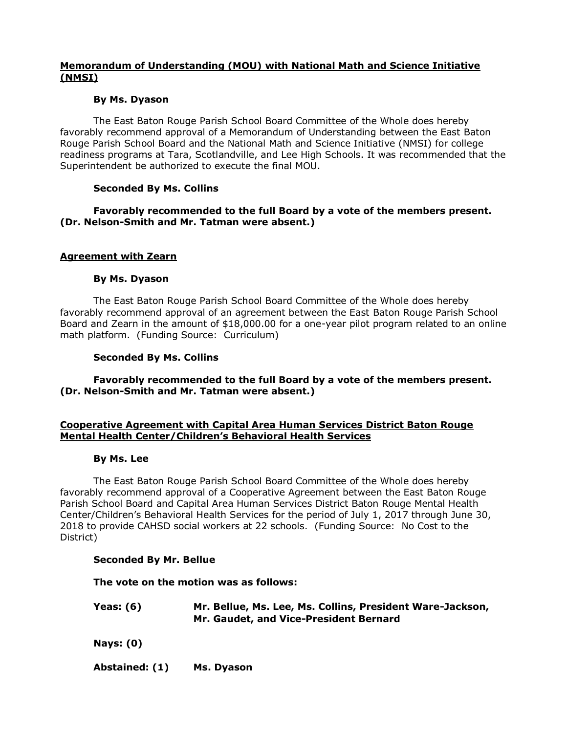# **Memorandum of Understanding (MOU) with National Math and Science Initiative (NMSI)**

# **By Ms. Dyason**

The East Baton Rouge Parish School Board Committee of the Whole does hereby favorably recommend approval of a Memorandum of Understanding between the East Baton Rouge Parish School Board and the National Math and Science Initiative (NMSI) for college readiness programs at Tara, Scotlandville, and Lee High Schools. It was recommended that the Superintendent be authorized to execute the final MOU.

# **Seconded By Ms. Collins**

# **Favorably recommended to the full Board by a vote of the members present. (Dr. Nelson-Smith and Mr. Tatman were absent.)**

# **Agreement with Zearn**

### **By Ms. Dyason**

The East Baton Rouge Parish School Board Committee of the Whole does hereby favorably recommend approval of an agreement between the East Baton Rouge Parish School Board and Zearn in the amount of \$18,000.00 for a one-year pilot program related to an online math platform. (Funding Source: Curriculum)

### **Seconded By Ms. Collins**

**Favorably recommended to the full Board by a vote of the members present. (Dr. Nelson-Smith and Mr. Tatman were absent.)**

# **Cooperative Agreement with Capital Area Human Services District Baton Rouge Mental Health Center/Children's Behavioral Health Services**

### **By Ms. Lee**

The East Baton Rouge Parish School Board Committee of the Whole does hereby favorably recommend approval of a Cooperative Agreement between the East Baton Rouge Parish School Board and Capital Area Human Services District Baton Rouge Mental Health Center/Children's Behavioral Health Services for the period of July 1, 2017 through June 30, 2018 to provide CAHSD social workers at 22 schools. (Funding Source: No Cost to the District)

### **Seconded By Mr. Bellue**

**The vote on the motion was as follows:**

| Yeas: (6) | Mr. Bellue, Ms. Lee, Ms. Collins, President Ware-Jackson, |
|-----------|-----------------------------------------------------------|
|           | Mr. Gaudet, and Vice-President Bernard                    |

**Nays: (0)**

**Abstained: (1) Ms. Dyason**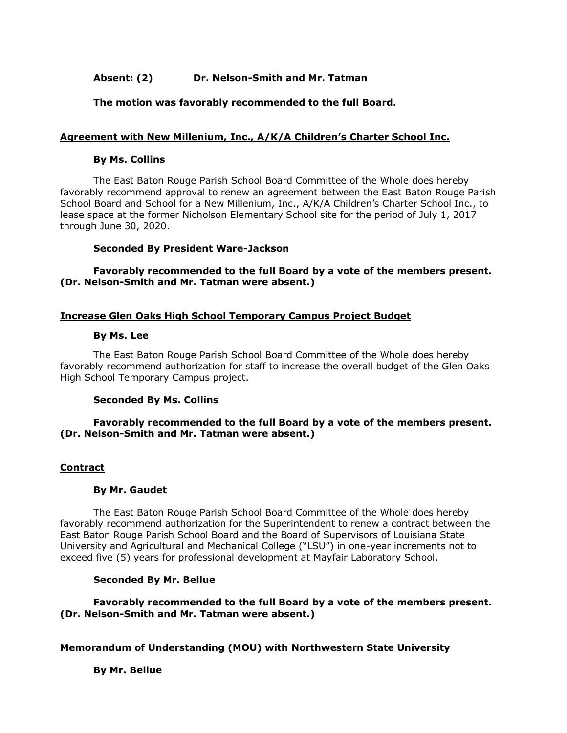# **Absent: (2) Dr. Nelson-Smith and Mr. Tatman**

# **The motion was favorably recommended to the full Board.**

# **Agreement with New Millenium, Inc., A/K/A Children's Charter School Inc.**

#### **By Ms. Collins**

The East Baton Rouge Parish School Board Committee of the Whole does hereby favorably recommend approval to renew an agreement between the East Baton Rouge Parish School Board and School for a New Millenium, Inc., A/K/A Children's Charter School Inc., to lease space at the former Nicholson Elementary School site for the period of July 1, 2017 through June 30, 2020.

### **Seconded By President Ware-Jackson**

# **Favorably recommended to the full Board by a vote of the members present. (Dr. Nelson-Smith and Mr. Tatman were absent.)**

### **Increase Glen Oaks High School Temporary Campus Project Budget**

#### **By Ms. Lee**

The East Baton Rouge Parish School Board Committee of the Whole does hereby favorably recommend authorization for staff to increase the overall budget of the Glen Oaks High School Temporary Campus project.

### **Seconded By Ms. Collins**

### **Favorably recommended to the full Board by a vote of the members present. (Dr. Nelson-Smith and Mr. Tatman were absent.)**

### **Contract**

#### **By Mr. Gaudet**

The East Baton Rouge Parish School Board Committee of the Whole does hereby favorably recommend authorization for the Superintendent to renew a contract between the East Baton Rouge Parish School Board and the Board of Supervisors of Louisiana State University and Agricultural and Mechanical College ("LSU") in one-year increments not to exceed five (5) years for professional development at Mayfair Laboratory School.

### **Seconded By Mr. Bellue**

**Favorably recommended to the full Board by a vote of the members present. (Dr. Nelson-Smith and Mr. Tatman were absent.)**

### **Memorandum of Understanding (MOU) with Northwestern State University**

**By Mr. Bellue**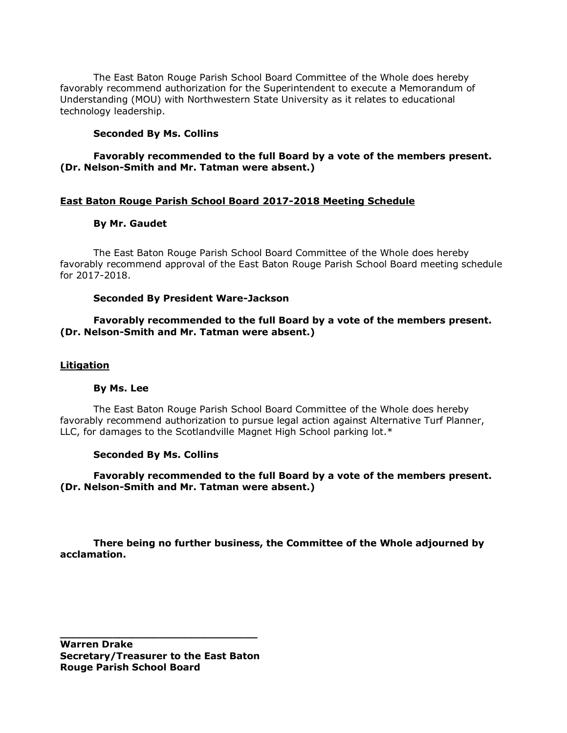The East Baton Rouge Parish School Board Committee of the Whole does hereby favorably recommend authorization for the Superintendent to execute a Memorandum of Understanding (MOU) with Northwestern State University as it relates to educational technology leadership.

#### **Seconded By Ms. Collins**

### **Favorably recommended to the full Board by a vote of the members present. (Dr. Nelson-Smith and Mr. Tatman were absent.)**

### **East Baton Rouge Parish School Board 2017-2018 Meeting Schedule**

### **By Mr. Gaudet**

The East Baton Rouge Parish School Board Committee of the Whole does hereby favorably recommend approval of the East Baton Rouge Parish School Board meeting schedule for 2017-2018.

#### **Seconded By President Ware-Jackson**

### **Favorably recommended to the full Board by a vote of the members present. (Dr. Nelson-Smith and Mr. Tatman were absent.)**

#### **Litigation**

#### **By Ms. Lee**

The East Baton Rouge Parish School Board Committee of the Whole does hereby favorably recommend authorization to pursue legal action against Alternative Turf Planner, LLC, for damages to the Scotlandville Magnet High School parking lot.\*

#### **Seconded By Ms. Collins**

**Favorably recommended to the full Board by a vote of the members present. (Dr. Nelson-Smith and Mr. Tatman were absent.)**

**There being no further business, the Committee of the Whole adjourned by acclamation.**

**Warren Drake Secretary/Treasurer to the East Baton Rouge Parish School Board** 

**\_\_\_\_\_\_\_\_\_\_\_\_\_\_\_\_\_\_\_\_\_\_\_\_\_\_\_\_\_\_**